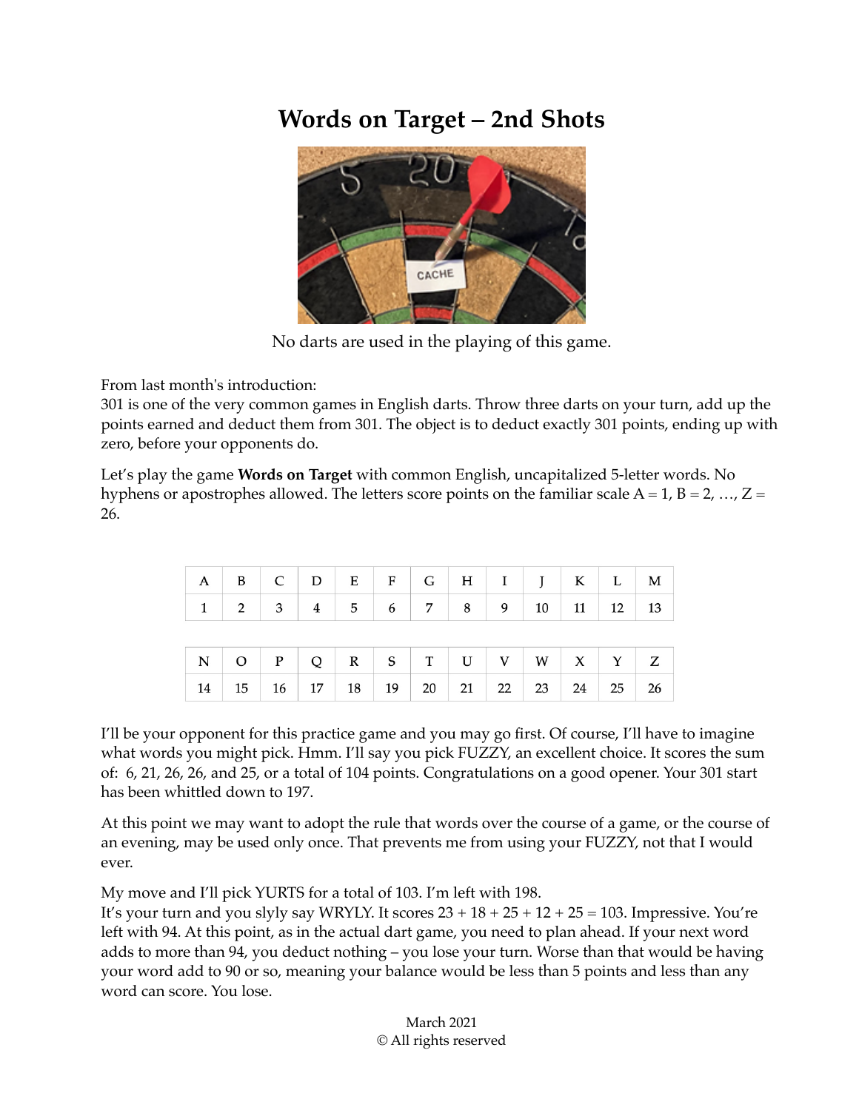## **Words on Target – 2nd Shots**



No darts are used in the playing of this game.

From last month's introduction:

301 is one of the very common games in English darts. Throw three darts on your turn, add up the points earned and deduct them from 301. The object is to deduct exactly 301 points, ending up with zero, before your opponents do.

Let's play the game **Words on Target** with common English, uncapitalized 5-letter words. No hyphens or apostrophes allowed. The letters score points on the familiar scale  $A = 1$ ,  $B = 2$ , ...,  $Z =$ 26.

|    | $A \mid B \mid C \mid D \mid E \mid F \mid G \mid H \mid I \mid J \mid K \mid L \mid M$ |  |                                                                                   |  |  |  |    |
|----|-----------------------------------------------------------------------------------------|--|-----------------------------------------------------------------------------------|--|--|--|----|
| 1  |                                                                                         |  | $2 \mid 3 \mid 4 \mid 5 \mid 6 \mid 7 \mid 8 \mid 9 \mid 10 \mid 11 \mid 12 \mid$ |  |  |  | 13 |
|    |                                                                                         |  |                                                                                   |  |  |  |    |
|    |                                                                                         |  |                                                                                   |  |  |  |    |
| 14 |                                                                                         |  | 15 16 17 18 19 20 21 22 23 24 25                                                  |  |  |  | 26 |

I'll be your opponent for this practice game and you may go first. Of course, I'll have to imagine what words you might pick. Hmm. I'll say you pick FUZZY, an excellent choice. It scores the sum of: 6, 21, 26, 26, and 25, or a total of 104 points. Congratulations on a good opener. Your 301 start has been whittled down to 197.

At this point we may want to adopt the rule that words over the course of a game, or the course of an evening, may be used only once. That prevents me from using your FUZZY, not that I would ever.

My move and I'll pick YURTS for a total of 103. I'm left with 198.

It's your turn and you slyly say WRYLY. It scores  $23 + 18 + 25 + 12 + 25 = 103$ . Impressive. You're left with 94. At this point, as in the actual dart game, you need to plan ahead. If your next word adds to more than 94, you deduct nothing – you lose your turn. Worse than that would be having your word add to 90 or so, meaning your balance would be less than 5 points and less than any word can score. You lose.

> March 2021 © All rights reserved